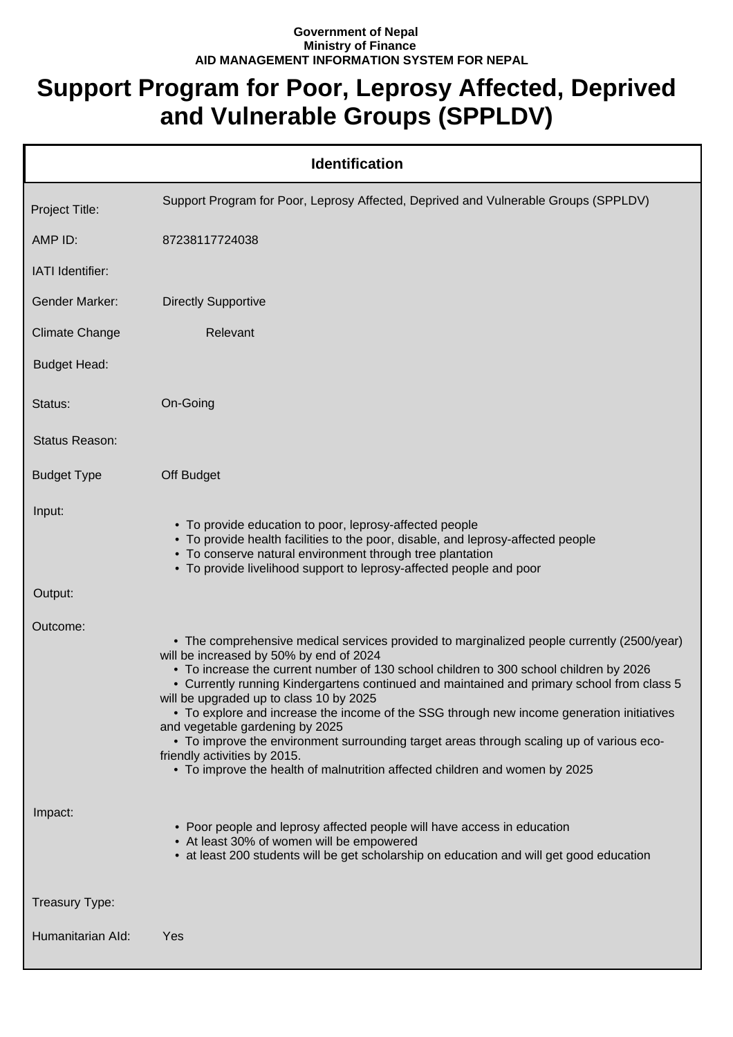## **Government of Nepal Ministry of Finance AID MANAGEMENT INFORMATION SYSTEM FOR NEPAL**

## **Support Program for Poor, Leprosy Affected, Deprived and Vulnerable Groups (SPPLDV)**

|                       | <b>Identification</b>                                                                                                                                                                                                                                                                                                                                                                                                                                                                                                                                                                                                                                                                                               |
|-----------------------|---------------------------------------------------------------------------------------------------------------------------------------------------------------------------------------------------------------------------------------------------------------------------------------------------------------------------------------------------------------------------------------------------------------------------------------------------------------------------------------------------------------------------------------------------------------------------------------------------------------------------------------------------------------------------------------------------------------------|
| Project Title:        | Support Program for Poor, Leprosy Affected, Deprived and Vulnerable Groups (SPPLDV)                                                                                                                                                                                                                                                                                                                                                                                                                                                                                                                                                                                                                                 |
| AMP ID:               | 87238117724038                                                                                                                                                                                                                                                                                                                                                                                                                                                                                                                                                                                                                                                                                                      |
| IATI Identifier:      |                                                                                                                                                                                                                                                                                                                                                                                                                                                                                                                                                                                                                                                                                                                     |
| <b>Gender Marker:</b> | <b>Directly Supportive</b>                                                                                                                                                                                                                                                                                                                                                                                                                                                                                                                                                                                                                                                                                          |
| <b>Climate Change</b> | Relevant                                                                                                                                                                                                                                                                                                                                                                                                                                                                                                                                                                                                                                                                                                            |
| <b>Budget Head:</b>   |                                                                                                                                                                                                                                                                                                                                                                                                                                                                                                                                                                                                                                                                                                                     |
| Status:               | On-Going                                                                                                                                                                                                                                                                                                                                                                                                                                                                                                                                                                                                                                                                                                            |
| <b>Status Reason:</b> |                                                                                                                                                                                                                                                                                                                                                                                                                                                                                                                                                                                                                                                                                                                     |
| <b>Budget Type</b>    | Off Budget                                                                                                                                                                                                                                                                                                                                                                                                                                                                                                                                                                                                                                                                                                          |
| Input:                | • To provide education to poor, leprosy-affected people<br>• To provide health facilities to the poor, disable, and leprosy-affected people<br>• To conserve natural environment through tree plantation<br>• To provide livelihood support to leprosy-affected people and poor                                                                                                                                                                                                                                                                                                                                                                                                                                     |
| Output:               |                                                                                                                                                                                                                                                                                                                                                                                                                                                                                                                                                                                                                                                                                                                     |
| Outcome:              | • The comprehensive medical services provided to marginalized people currently (2500/year)<br>will be increased by 50% by end of 2024<br>. To increase the current number of 130 school children to 300 school children by 2026<br>• Currently running Kindergartens continued and maintained and primary school from class 5<br>will be upgraded up to class 10 by 2025<br>• To explore and increase the income of the SSG through new income generation initiatives<br>and vegetable gardening by 2025<br>• To improve the environment surrounding target areas through scaling up of various eco-<br>friendly activities by 2015.<br>. To improve the health of malnutrition affected children and women by 2025 |
| Impact:               | • Poor people and leprosy affected people will have access in education<br>• At least 30% of women will be empowered<br>• at least 200 students will be get scholarship on education and will get good education                                                                                                                                                                                                                                                                                                                                                                                                                                                                                                    |
| Treasury Type:        |                                                                                                                                                                                                                                                                                                                                                                                                                                                                                                                                                                                                                                                                                                                     |
| Humanitarian Ald:     | Yes                                                                                                                                                                                                                                                                                                                                                                                                                                                                                                                                                                                                                                                                                                                 |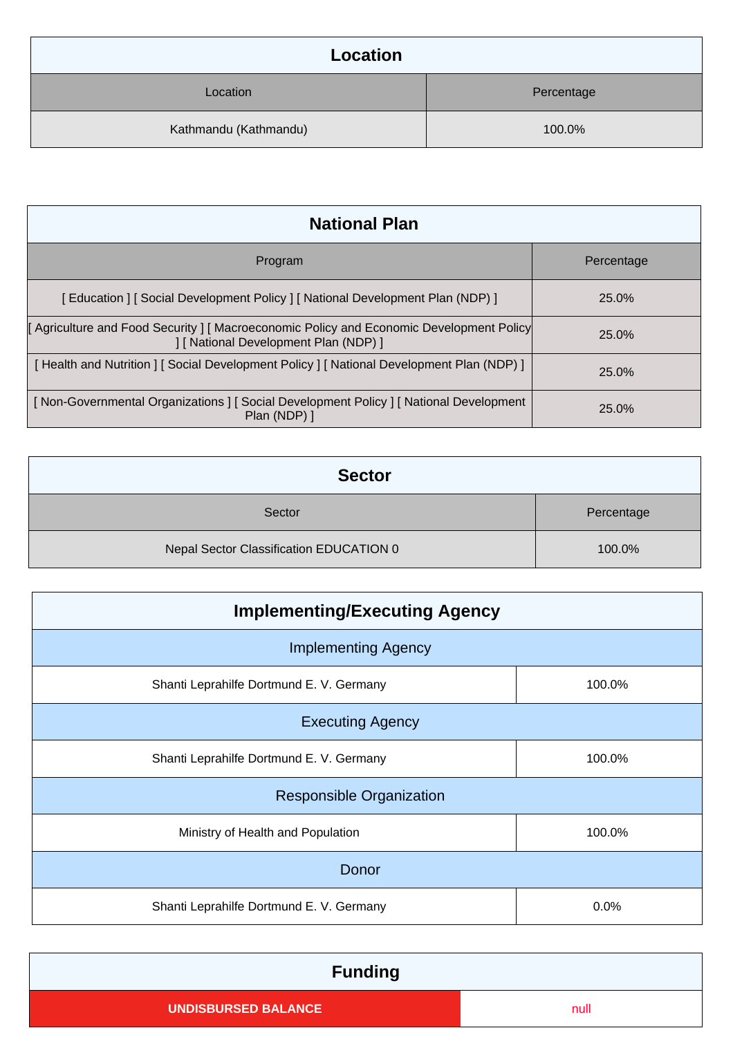| Location              |            |
|-----------------------|------------|
| Location              | Percentage |
| Kathmandu (Kathmandu) | 100.0%     |

| <b>National Plan</b>                                                                                                              |            |
|-----------------------------------------------------------------------------------------------------------------------------------|------------|
| Program                                                                                                                           | Percentage |
| [Education ] [Social Development Policy ] [National Development Plan (NDP) ]                                                      | 25.0%      |
| [ Agriculture and Food Security ] [ Macroeconomic Policy and Economic Development Policy<br>] [ National Development Plan (NDP) ] | 25.0%      |
| [Health and Nutrition ] [Social Development Policy ] [National Development Plan (NDP) ]                                           | 25.0%      |
| [Non-Governmental Organizations ] [Social Development Policy ] [National Development<br>Plan (NDP) 1                              | 25.0%      |

| <b>Sector</b>                           |            |  |
|-----------------------------------------|------------|--|
| Sector                                  | Percentage |  |
| Nepal Sector Classification EDUCATION 0 | 100.0%     |  |

| <b>Implementing/Executing Agency</b>     |        |  |  |
|------------------------------------------|--------|--|--|
| <b>Implementing Agency</b>               |        |  |  |
| Shanti Leprahilfe Dortmund E. V. Germany | 100.0% |  |  |
| <b>Executing Agency</b>                  |        |  |  |
| Shanti Leprahilfe Dortmund E. V. Germany | 100.0% |  |  |
| <b>Responsible Organization</b>          |        |  |  |
| Ministry of Health and Population        | 100.0% |  |  |
| Donor                                    |        |  |  |
| Shanti Leprahilfe Dortmund E. V. Germany | 0.0%   |  |  |

| <b>Funding</b>             |      |
|----------------------------|------|
| <b>UNDISBURSED BALANCE</b> | null |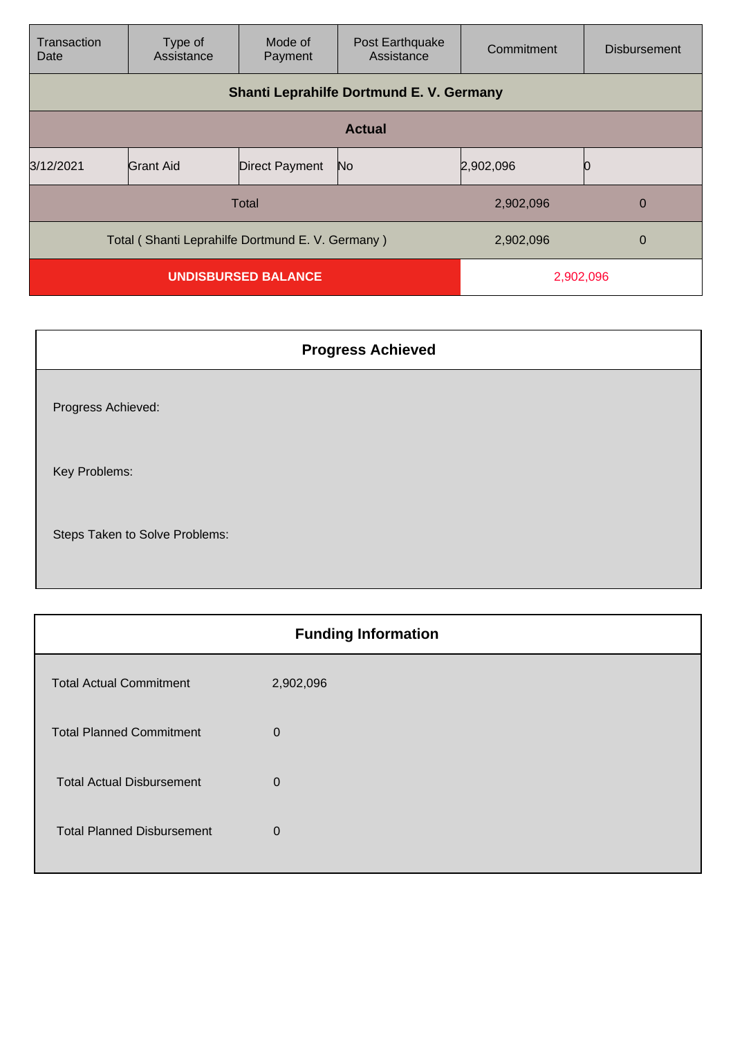| Transaction<br>Date                                                | Type of<br>Assistance                    | Mode of<br>Payment    | Post Earthquake<br>Assistance | Commitment     | <b>Disbursement</b> |
|--------------------------------------------------------------------|------------------------------------------|-----------------------|-------------------------------|----------------|---------------------|
|                                                                    | Shanti Leprahilfe Dortmund E. V. Germany |                       |                               |                |                     |
|                                                                    |                                          |                       | <b>Actual</b>                 |                |                     |
| 3/12/2021                                                          | Grant Aid                                | <b>Direct Payment</b> | No                            | 2,902,096      |                     |
| Total                                                              |                                          |                       | 2,902,096                     | $\overline{0}$ |                     |
| Total (Shanti Leprahilfe Dortmund E. V. Germany)<br>2,902,096<br>0 |                                          |                       |                               |                |                     |
| <b>UNDISBURSED BALANCE</b>                                         |                                          |                       | 2,902,096                     |                |                     |

| <b>Progress Achieved</b>       |
|--------------------------------|
| Progress Achieved:             |
| Key Problems:                  |
| Steps Taken to Solve Problems: |

| <b>Funding Information</b> |  |  |
|----------------------------|--|--|
| 2,902,096                  |  |  |
| $\mathbf 0$                |  |  |
| $\mathbf 0$                |  |  |
| $\mathbf 0$                |  |  |
|                            |  |  |